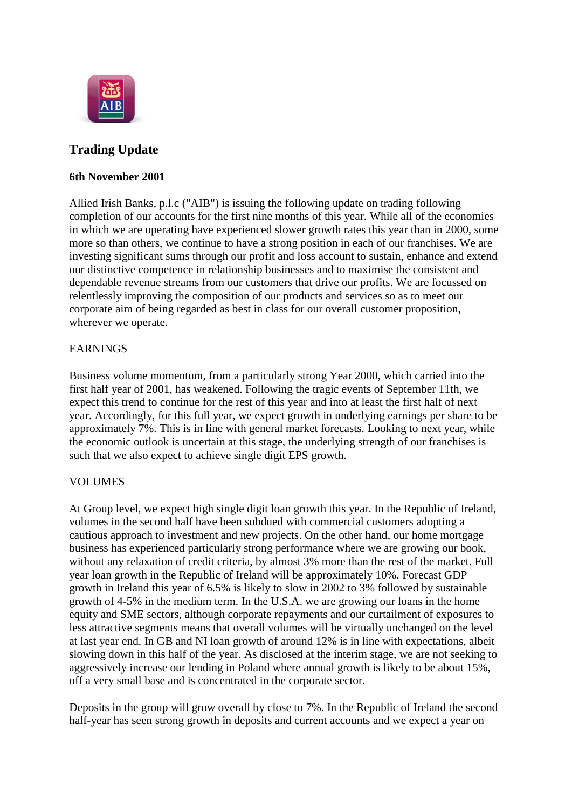

# **Trading Update**

#### **6th November 2001**

Allied Irish Banks, p.l.c ("AIB") is issuing the following update on trading following completion of our accounts for the first nine months of this year. While all of the economies in which we are operating have experienced slower growth rates this year than in 2000, some more so than others, we continue to have a strong position in each of our franchises. We are investing significant sums through our profit and loss account to sustain, enhance and extend our distinctive competence in relationship businesses and to maximise the consistent and dependable revenue streams from our customers that drive our profits. We are focussed on relentlessly improving the composition of our products and services so as to meet our corporate aim of being regarded as best in class for our overall customer proposition, wherever we operate.

### EARNINGS

Business volume momentum, from a particularly strong Year 2000, which carried into the first half year of 2001, has weakened. Following the tragic events of September 11th, we expect this trend to continue for the rest of this year and into at least the first half of next year. Accordingly, for this full year, we expect growth in underlying earnings per share to be approximately 7%. This is in line with general market forecasts. Looking to next year, while the economic outlook is uncertain at this stage, the underlying strength of our franchises is such that we also expect to achieve single digit EPS growth.

### VOLUMES

At Group level, we expect high single digit loan growth this year. In the Republic of Ireland, volumes in the second half have been subdued with commercial customers adopting a cautious approach to investment and new projects. On the other hand, our home mortgage business has experienced particularly strong performance where we are growing our book, without any relaxation of credit criteria, by almost 3% more than the rest of the market. Full year loan growth in the Republic of Ireland will be approximately 10%. Forecast GDP growth in Ireland this year of 6.5% is likely to slow in 2002 to 3% followed by sustainable growth of 4-5% in the medium term. In the U.S.A. we are growing our loans in the home equity and SME sectors, although corporate repayments and our curtailment of exposures to less attractive segments means that overall volumes will be virtually unchanged on the level at last year end. In GB and NI loan growth of around 12% is in line with expectations, albeit slowing down in this half of the year. As disclosed at the interim stage, we are not seeking to aggressively increase our lending in Poland where annual growth is likely to be about 15%, off a very small base and is concentrated in the corporate sector.

Deposits in the group will grow overall by close to 7%. In the Republic of Ireland the second half-year has seen strong growth in deposits and current accounts and we expect a year on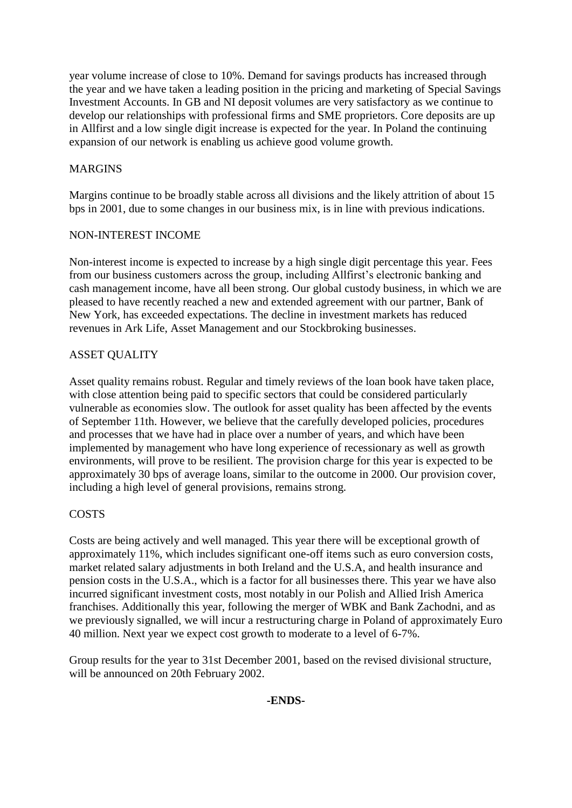year volume increase of close to 10%. Demand for savings products has increased through the year and we have taken a leading position in the pricing and marketing of Special Savings Investment Accounts. In GB and NI deposit volumes are very satisfactory as we continue to develop our relationships with professional firms and SME proprietors. Core deposits are up in Allfirst and a low single digit increase is expected for the year. In Poland the continuing expansion of our network is enabling us achieve good volume growth.

### MARGINS

Margins continue to be broadly stable across all divisions and the likely attrition of about 15 bps in 2001, due to some changes in our business mix, is in line with previous indications.

### NON-INTEREST INCOME

Non-interest income is expected to increase by a high single digit percentage this year. Fees from our business customers across the group, including Allfirst's electronic banking and cash management income, have all been strong. Our global custody business, in which we are pleased to have recently reached a new and extended agreement with our partner, Bank of New York, has exceeded expectations. The decline in investment markets has reduced revenues in Ark Life, Asset Management and our Stockbroking businesses.

## ASSET QUALITY

Asset quality remains robust. Regular and timely reviews of the loan book have taken place, with close attention being paid to specific sectors that could be considered particularly vulnerable as economies slow. The outlook for asset quality has been affected by the events of September 11th. However, we believe that the carefully developed policies, procedures and processes that we have had in place over a number of years, and which have been implemented by management who have long experience of recessionary as well as growth environments, will prove to be resilient. The provision charge for this year is expected to be approximately 30 bps of average loans, similar to the outcome in 2000. Our provision cover, including a high level of general provisions, remains strong.

## COSTS

Costs are being actively and well managed. This year there will be exceptional growth of approximately 11%, which includes significant one-off items such as euro conversion costs, market related salary adjustments in both Ireland and the U.S.A, and health insurance and pension costs in the U.S.A., which is a factor for all businesses there. This year we have also incurred significant investment costs, most notably in our Polish and Allied Irish America franchises. Additionally this year, following the merger of WBK and Bank Zachodni, and as we previously signalled, we will incur a restructuring charge in Poland of approximately Euro 40 million. Next year we expect cost growth to moderate to a level of 6-7%.

Group results for the year to 31st December 2001, based on the revised divisional structure, will be announced on 20th February 2002.